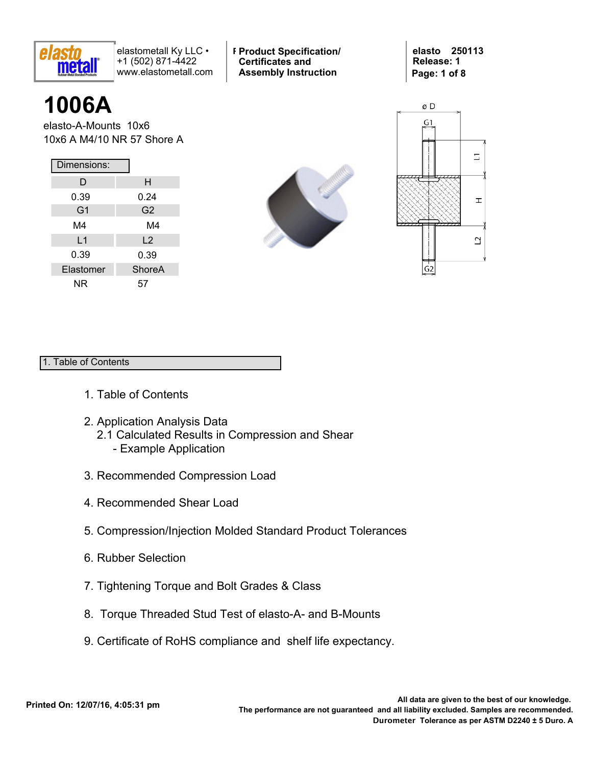

**Product Typ-Style Product Specification/ Certificates and Assembly Instruction**

**elasto 250113 Release: 1 Page: 1 of 8**

# **1006A**

elasto-A-Mounts 10x6 10x6 A M4/10 NR 57 Shore A

| Dimensions:    |                |  |  |  |  |  |  |
|----------------|----------------|--|--|--|--|--|--|
| D              | н              |  |  |  |  |  |  |
| 0.39           | 0.24           |  |  |  |  |  |  |
| G <sub>1</sub> | G <sub>2</sub> |  |  |  |  |  |  |
| M4             | M4             |  |  |  |  |  |  |
| L1             | L <sub>2</sub> |  |  |  |  |  |  |
| 0.39           | 0.39           |  |  |  |  |  |  |
| Elastomer      | <b>ShoreA</b>  |  |  |  |  |  |  |
| ΝR             | 57             |  |  |  |  |  |  |





## 1. Table of Contents

- 1. Table of Contents
- 2. Application Analysis Data 2.1 Calculated Results in Compression and Shear - Example Application
- 3. Recommended Compression Load
- 4. Recommended Shear Load
- 5. Compression/Injection Molded Standard Product Tolerances
- 6. Rubber Selection
- 7. Tightening Torque and Bolt Grades & Class
- 8. Torque Threaded Stud Test of elasto-A- and B-Mounts
- 9. Certificate of RoHS compliance and shelf life expectancy.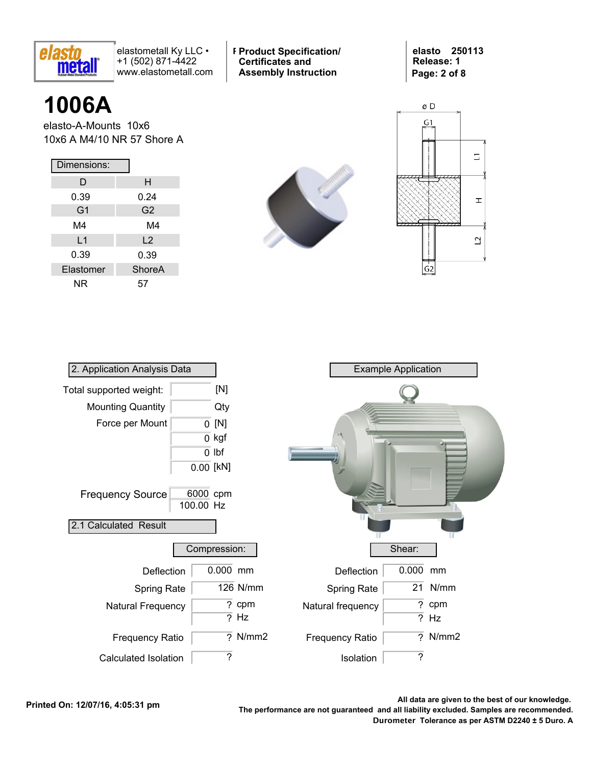

**Product Typ-Style Product Specification/ Certificates and Assembly Instruction**

**elasto 250113 Release: 1 Page: 2 of 8**

# **1006A**

elasto-A-Mounts 10x6 10x6 A M4/10 NR 57 Shore A

| Dimensions:    |                |  |  |  |  |  |
|----------------|----------------|--|--|--|--|--|
| D              | н              |  |  |  |  |  |
| 0.39           | 0.24           |  |  |  |  |  |
| G <sub>1</sub> | G <sub>2</sub> |  |  |  |  |  |
| M4             | M4             |  |  |  |  |  |
| L <sub>1</sub> | $\mathsf{L}2$  |  |  |  |  |  |
| 0.39           | 0.39           |  |  |  |  |  |
| Elastomer      | <b>ShoreA</b>  |  |  |  |  |  |
| ΝR             | 57             |  |  |  |  |  |





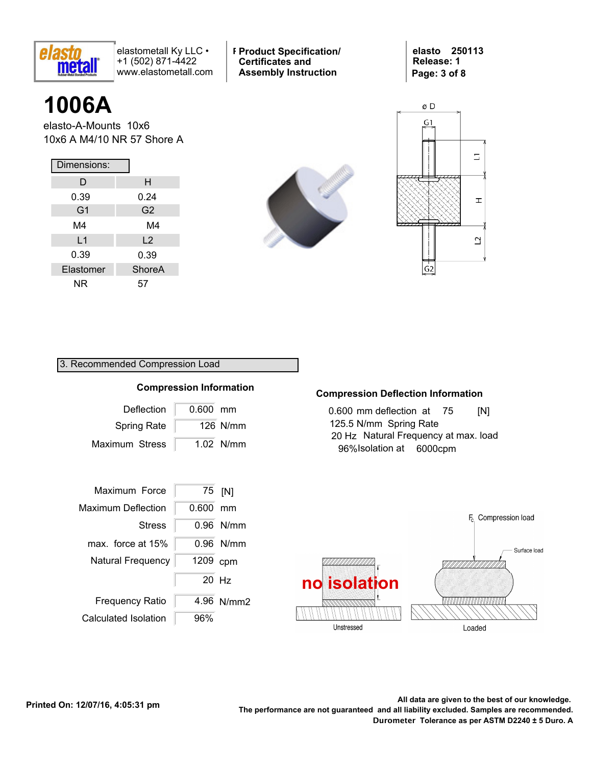

**Product Typ-Style Product Specification/ Certificates and Assembly Instruction**

**elasto 250113 Release: 1 Page: 3 of 8**

# **1006A**

elasto-A-Mounts 10x6 10x6 A M4/10 NR 57 Shore A

| Dimensions:    |                |  |  |  |  |  |
|----------------|----------------|--|--|--|--|--|
| D              | н              |  |  |  |  |  |
| 0.39           | 0.24           |  |  |  |  |  |
| G <sub>1</sub> | G <sub>2</sub> |  |  |  |  |  |
| M4             | M4             |  |  |  |  |  |
| L1             | L <sub>2</sub> |  |  |  |  |  |
| 0.39           | 0.39           |  |  |  |  |  |
| Elastomer      | <b>ShoreA</b>  |  |  |  |  |  |
| ΝR             | 57             |  |  |  |  |  |





#### 3. Recommended Compression Load

#### Deflection Maximum Stress 0.600 mm **Compression Information**  $1.02$  N/mm Spring Rate 126 N/mm

| Maximum Force             | 75    | [N]        |
|---------------------------|-------|------------|
| <b>Maximum Deflection</b> | 0.600 | mm         |
| <b>Stress</b>             |       | 0.96 N/mm  |
| max. force at 15%         |       | 0.96 N/mm  |
| Natural Frequency         | 1209  | cpm        |
|                           | 20    | Hz         |
| <b>Frequency Ratio</b>    |       | 4.96 N/mm2 |
| Calculated Isolation      | 6%    |            |

## **Compression Deflection Information**

0.600 mm deflection at 125.5 N/mm Spring Rate  $INI$ 20 Hz Natural Frequency at max. load 96%Isolation at 6000cpm

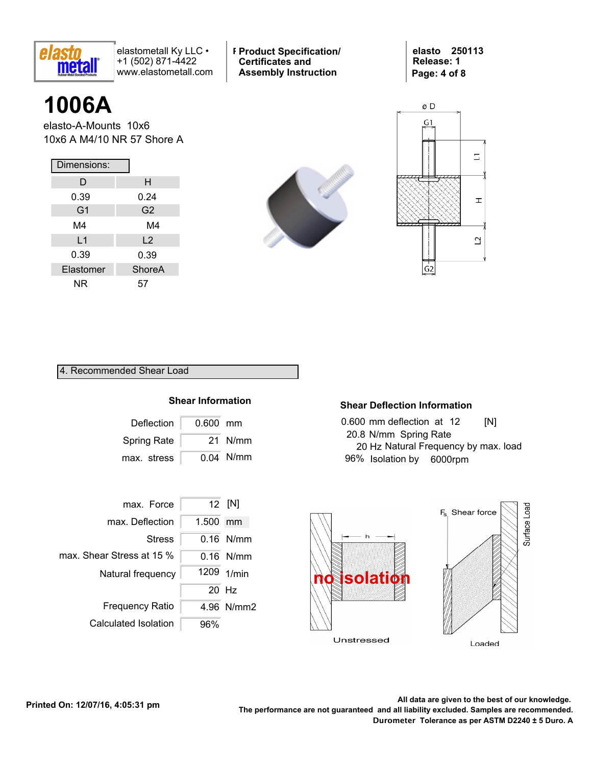

**Product Typ-Style Product Specification/ Certificates and Assembly Instruction**

**elasto 250113 Release: 1 Page: 4 of 8**

# **1006A**

elasto-A-Mounts 10x6 10x6 A M4/10 NR 57 Shore A

| Dimensions:    |                |  |  |  |  |  |  |
|----------------|----------------|--|--|--|--|--|--|
| D              | н              |  |  |  |  |  |  |
| 0.39           | 0.24           |  |  |  |  |  |  |
| G <sub>1</sub> | G <sub>2</sub> |  |  |  |  |  |  |
| M4             | M4             |  |  |  |  |  |  |
| L1             | L <sub>2</sub> |  |  |  |  |  |  |
| 0.39           | 0.39           |  |  |  |  |  |  |
| Elastomer      | ShoreA         |  |  |  |  |  |  |
| ΝR             | 57             |  |  |  |  |  |  |





#### 4. Recommended Shear Load

#### **Shear Information**

| Deflection           | 0.600 mm |             |
|----------------------|----------|-------------|
| Spring Rate          |          | 21 N/mm     |
| max. stress $\lceil$ |          | $0.04$ N/mm |



#### **Shear Deflection Information**

| 0.600 mm deflection at 12            | [N] |
|--------------------------------------|-----|
| 20.8 N/mm Spring Rate                |     |
| 20 Hz Natural Frequency by max. load |     |
| 96% Isolation by 6000rpm             |     |

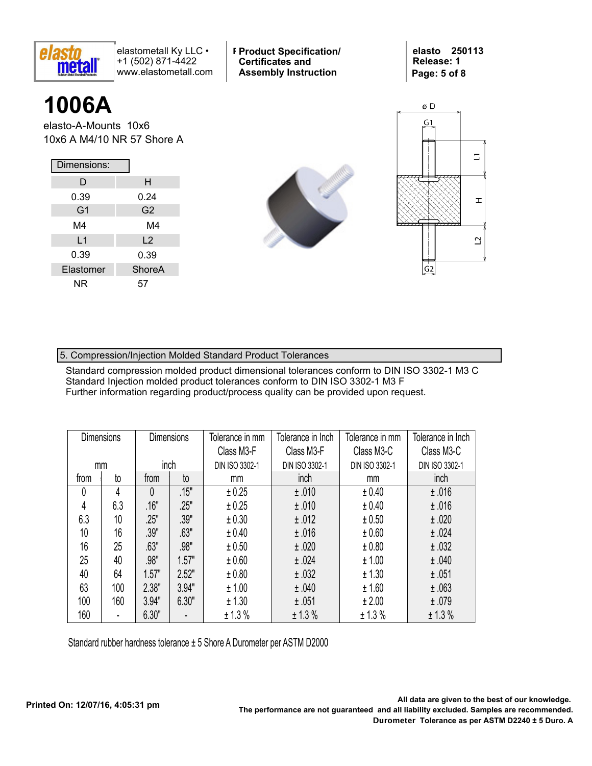

**Product Typ-Style Product Specification/ Certificates and Assembly Instruction**

**elasto 250113 Release: 1 Page: 5 of 8**

# **1006A**

elasto-A-Mounts 10x6 10x6 A M4/10 NR 57 Shore A

| Dimensions: |                |  |  |  |  |  |  |
|-------------|----------------|--|--|--|--|--|--|
| D           | н              |  |  |  |  |  |  |
| 0.39        | 0.24           |  |  |  |  |  |  |
| G1          | G <sub>2</sub> |  |  |  |  |  |  |
| M4          | M4             |  |  |  |  |  |  |
| L1          | L <sub>2</sub> |  |  |  |  |  |  |
| 0.39        | 0.39           |  |  |  |  |  |  |
| Elastomer   | <b>ShoreA</b>  |  |  |  |  |  |  |
| ΝR          | 57             |  |  |  |  |  |  |





### 5. Compression/Injection Molded Standard Product Tolerances

Standard compression molded product dimensional tolerances conform to DIN ISO 3302-1 M3 C Standard Injection molded product tolerances conform to DIN ISO 3302-1 M3 F Further information regarding product/process quality can be provided upon request.

| <b>Dimensions</b> |     | <b>Dimensions</b> |                    | Tolerance in Inch<br>Tolerance in mm<br>Class M3-F<br>Class M3-F |                |                |                | Tolerance in mm<br>Class M3-C | Tolerance in Inch<br>Class M3-C |
|-------------------|-----|-------------------|--------------------|------------------------------------------------------------------|----------------|----------------|----------------|-------------------------------|---------------------------------|
| mm                |     | inch              |                    | DIN ISO 3302-1                                                   | DIN ISO 3302-1 | DIN ISO 3302-1 | DIN ISO 3302-1 |                               |                                 |
| from              | to  | from              | to                 | mm                                                               | inch           | mm             | inch           |                               |                                 |
| 0                 | 4   | 0                 | $\overline{.15}$ " | ± 0.25                                                           | ±.010          | ± 0.40         | ±.016          |                               |                                 |
| 4                 | 6.3 | .16"              | .25"               | ± 0.25                                                           | ±.010          | ± 0.40         | ±.016          |                               |                                 |
| 6.3               | 10  | .25"              | .39"               | ± 0.30                                                           | ±.012          | ± 0.50         | ±.020          |                               |                                 |
| 10                | 16  | .39"              | .63"               | ± 0.40                                                           | ±.016          | ±0.60          | ±.024          |                               |                                 |
| 16                | 25  | .63"              | .98"               | ± 0.50                                                           | ±.020          | ± 0.80         | ±.032          |                               |                                 |
| 25                | 40  | .98"              | 1.57"              | ±0.60                                                            | ±.024          | ± 1.00         | ±.040          |                               |                                 |
| 40                | 64  | 1.57"             | 2.52"              | ± 0.80                                                           | ±.032          | ± 1.30         | ±.051          |                               |                                 |
| 63                | 100 | 2.38"             | 3.94"              | ± 1.00                                                           | ±.040          | ±1.60          | ±.063          |                               |                                 |
| 100               | 160 | 3.94"             | 6.30"              | ± 1.30                                                           | ±.051          | ± 2.00         | ±.079          |                               |                                 |
| 160               | ۰   | 6.30"             | ۰                  | ± 1.3 %                                                          | ± 1.3%         | ± 1.3%         | ± 1.3%         |                               |                                 |

Standard rubber hardness tolerance ± 5 Shore A Durometer per ASTM D2000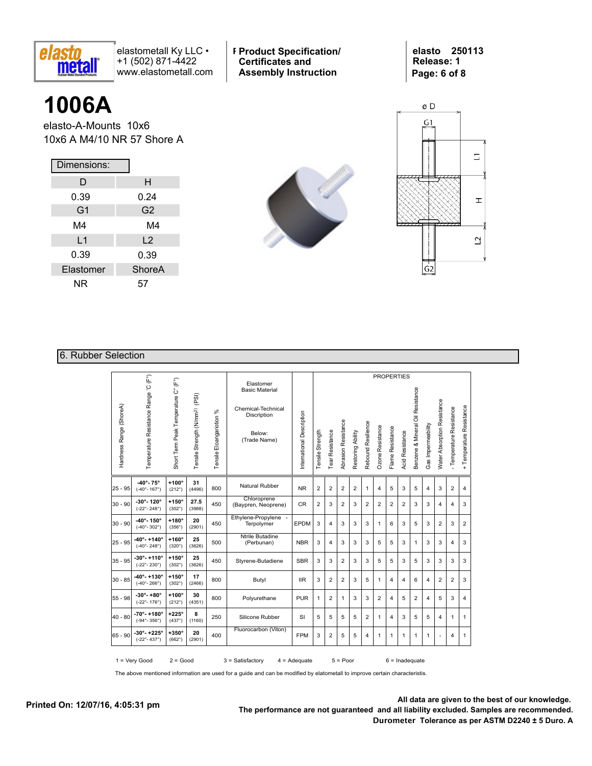

**Product Typ-Style Product Specification/ Certificates and Assembly Instruction**

**elasto 250113 Release: 1 Page: 6 of 8**

## **1006A**

elasto-A-Mounts 10x6 10x6 A M4/10 NR 57 Shore A

| Dimensions:    |                |
|----------------|----------------|
| D              | н              |
| 0.39           | 0.24           |
| G <sub>1</sub> | G <sub>2</sub> |
| M4             | M4             |
| $\mathsf{L}$ 1 | $\overline{2}$ |
| 0.39           | 0.39           |
| Elastomer      | ShoreA         |
| ΝR             | 57             |





#### 6. Rubber Selection

|                         |                                                               |                                     |                                            |                          |                                                                                                   |                           |                  |                 |                     |                   |                    |                         |                  | <b>PROPERTIES</b>      |                                  |                    |                             |                          |                          |
|-------------------------|---------------------------------------------------------------|-------------------------------------|--------------------------------------------|--------------------------|---------------------------------------------------------------------------------------------------|---------------------------|------------------|-----------------|---------------------|-------------------|--------------------|-------------------------|------------------|------------------------|----------------------------------|--------------------|-----------------------------|--------------------------|--------------------------|
| Hardness Range (ShoreA) | Temperature Resistance Range 'C (F°)                          | Short Term Peak Temperature C° (F°) | Tensile Strength (N/mm <sup>2)</sup> (PSI) | Tensile Eloangariotion % | Elastomer<br><b>Basic Material</b><br>Chemical-Technical<br>Discription<br>Below:<br>(Trade Name) | International Description | Tensile Strength | Tear Resistance | Abrasion Resistance | Restoring Ability | Rebound Resilience | <b>Ozone Resistance</b> | Flame Resistance | <b>Acid Resistance</b> | Benzene & Mineral Oil Resistance | Gas Impermeability | Water Absorption Resistance | - Temperature Resistance | + Temperature Resistance |
| 25 - 95                 | $-40^{\circ} - 75^{\circ}$<br>$(-40° - 167°)$                 | $+100^\circ$<br>(212°)              | 31<br>(4496)                               | 800                      | Natural Rubber                                                                                    | <b>NR</b>                 | $\overline{2}$   | $\overline{2}$  | 2                   | $\overline{2}$    | 1                  | $\overline{4}$          | 5                | 3                      | 5                                | 4                  | 3                           | $\overline{2}$           | 4                        |
| 30 - 90                 | $-30^{\circ} - 120^{\circ}$<br>$(-22° - 248°)$                | $+150^\circ$<br>$(302^\circ)$       | 27.5<br>(3988)                             | 450                      | Chloroprene<br>(Baypren, Neoprene)                                                                | <b>CR</b>                 | $\overline{2}$   | 3               | $\overline{2}$      | 3                 | $\overline{2}$     | $\overline{2}$          | $\overline{2}$   | $\overline{2}$         | 3                                | 3                  | $\overline{4}$              | $\overline{4}$           | 3                        |
| 30 - 90                 | $-40^{\circ} - 150^{\circ}$<br>$(-40^{\circ} - 302^{\circ})$  | $+180^\circ$<br>(356°)              | 20<br>(2901)                               | 450                      | Ethylene-Propylene -<br>Terpolymer                                                                | <b>EPDM</b>               | 3                | 4               | 3                   | 3                 | 3                  | 1                       | 6                | 3                      | 5                                | 3                  | $\overline{2}$              | 3                        | 2                        |
| 25 - 95                 | -40°- +140°<br>$(-40^{\circ} - 248^{\circ})$                  | $+160^\circ$<br>$(320^\circ)$       | 25<br>(3626)                               | 500                      | Ntrile Butadine<br>(Perbunan)                                                                     | <b>NBR</b>                | 3                | 4               | 3                   | 3                 | 3                  | 5                       | 5                | 3                      | 1                                | 3                  | 3                           | $\overline{4}$           | 3                        |
| 35 - 95                 | $-30^{\circ} - +110^{\circ}$<br>$(-22^{\circ} - 230^{\circ})$ | $+150^\circ$<br>$(302^\circ)$       | 25<br>(3626)                               | 450                      | Styrene-Butadiene                                                                                 | <b>SBR</b>                | 3                | 3               | 2                   | 3                 | 3                  | 5                       | 5                | 3                      | 5                                | 3                  | 3                           | 3                        | 3                        |
| $30 - 85$               | $-40^{\circ} - +130^{\circ}$<br>$(-40^{\circ} - 266^{\circ})$ | $+150^\circ$<br>$(302^\circ)$       | 17<br>(2466)                               | 800                      | Butyl                                                                                             | <b>IIR</b>                | 3                | $\overline{2}$  | $\overline{2}$      | 3                 | 5                  | 1                       | 4                | 4                      | 6                                | 4                  | $\overline{2}$              | $\overline{2}$           | 3                        |
| 55 - 98                 | $-30^{\circ} - +80^{\circ}$<br>$(-22^{\circ} - 176^{\circ})$  | $+100^\circ$<br>$(212^{\circ})$     | 30<br>(4351)                               | 800                      | Polyurethane                                                                                      | <b>PUR</b>                | $\mathbf{1}$     | $\overline{2}$  | $\mathbf{1}$        | 3                 | 3                  | 2                       | 4                | 5                      | 2                                | 4                  | 5                           | 3                        | 4                        |
| 40 - 80                 | $-70^{\circ} - +180^{\circ}$<br>$(-94^{\circ} - 356^{\circ})$ | $+225^\circ$<br>(437°)              | 8<br>(1160)                                | 250                      | Silicone Rubber                                                                                   | SI                        | 5                | 5               | 5                   | 5                 | $\overline{2}$     | 1                       | 4                | 3                      | 5                                | 5                  | $\overline{4}$              | 1                        | 1                        |
| 65 - 90                 | $-30^{\circ} - +225^{\circ}$<br>$(-22^{\circ} - 437^{\circ})$ | $+350^\circ$<br>$(662^\circ)$       | 20<br>(2901)                               | 400                      | Fluorocarbon (Viton)                                                                              | <b>FPM</b>                | 3                | $\overline{2}$  | 5                   | 5                 | 4                  | $\mathbf{1}$            | 1                | 1                      | 1                                | 1                  | ٠                           | $\overline{4}$           | 1                        |
|                         | $1 = V$ ery Good                                              | $2 = Good$                          |                                            |                          | $3 =$ Satisfactory                                                                                | $4 = \text{Adequate}$     |                  |                 | $5 = Poor$          |                   |                    |                         |                  | $6 =$ Inadequate       |                                  |                    |                             |                          |                          |

The above mentioned information are used for a guide and can be modified by elatometall to improve certain characteristis.

**Printed On: 12/07/16, 4:05:31 pm**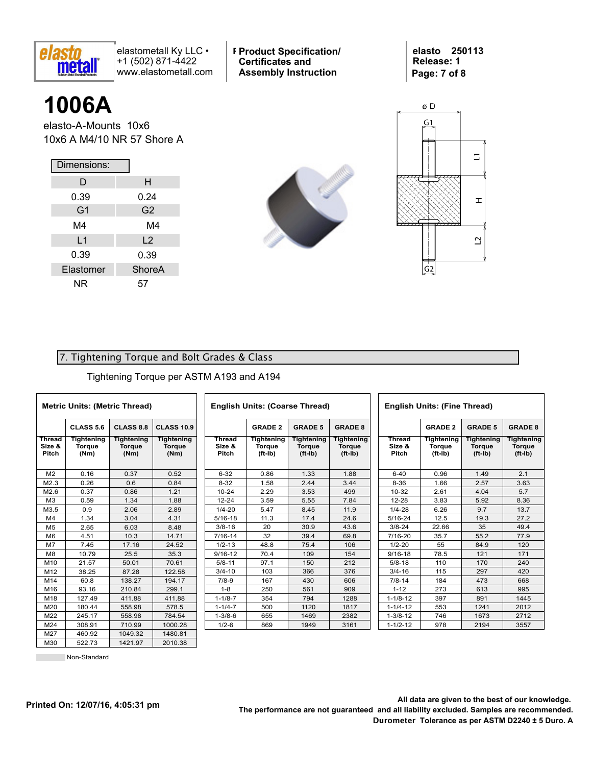

**Product Typ-Style Product Specification/ Certificates and Assembly Instruction**

**elasto 250113 Release: 1 Page: 7 of 8**

## **1006A**

elasto-A-Mounts 10x6 10x6 A M4/10 NR 57 Shore A

| Dimensions:    |                |  |  |  |  |  |  |
|----------------|----------------|--|--|--|--|--|--|
| D              | н              |  |  |  |  |  |  |
| 0.39           | 0.24           |  |  |  |  |  |  |
| G <sub>1</sub> | G <sub>2</sub> |  |  |  |  |  |  |
| M4             | M4             |  |  |  |  |  |  |
| L1             | $\overline{2}$ |  |  |  |  |  |  |
| 0.39           | 0.39           |  |  |  |  |  |  |
| Elastomer      | <b>ShoreA</b>  |  |  |  |  |  |  |
| ΝR             | 57             |  |  |  |  |  |  |





### 7. Tightening Torque and Bolt Grades & Class

Tightening Torque per ASTM A193 and A194

|                                  | <b>Metric Units: (Metric Thread)</b> |                              |                                     |                        |  |
|----------------------------------|--------------------------------------|------------------------------|-------------------------------------|------------------------|--|
|                                  | CLASS 5.6                            | CLASS 8.8                    | <b>CLASS 10.9</b>                   |                        |  |
| <b>Thread</b><br>Size &<br>Pitch | Tightening<br><b>Torque</b><br>(Nm)  | Tightening<br>Torque<br>(Nm) | Tightening<br><b>Torque</b><br>(Nm) | Threa<br>Size<br>Pitcl |  |
| M <sub>2</sub>                   | 0.16                                 | 0.37                         | 0.52                                | $6 - 32$               |  |
| M2.3                             | 0.26                                 | 0.6                          | 0.84                                | $8 - 32$               |  |
| M2.6                             | 0.37                                 | 0.86                         | 1.21                                | $10 - 2$               |  |
| M <sub>3</sub>                   | 0.59                                 | 1.34                         | 1.88                                | $12 - 2$               |  |
| M3.5                             | 0.9                                  | 2.06                         | 2.89                                | $1/4 - 2$              |  |
| M4                               | 1.34                                 | 3.04                         | 4.31                                | $5/16 -$               |  |
| M <sub>5</sub>                   | 2.65                                 | 6.03                         | 8.48                                | $3/8 - 1$              |  |
| M <sub>6</sub>                   | 4.51                                 | 10.3                         | 14.71                               | $7/16 -$               |  |
| M <sub>7</sub>                   | 7.45                                 | 17.16                        | 24.52                               | $1/2 - 1$              |  |
| M <sub>8</sub>                   | 10.79                                | 25.5                         | 35.3                                | $9/16 -$               |  |
| M <sub>10</sub>                  | 21.57                                | 50.01                        | 70.61                               | $5/8 - 1$              |  |
| M12                              | 38.25                                | 87.28                        | 122.58                              | $3/4 - 1$              |  |
| M14                              | 60.8                                 | 138.27                       | 194.17                              | $7/8-9$                |  |
| M16                              | 93.16                                | 210.84                       | 299.1                               | $1 - 8$                |  |
| M18                              | 127.49                               | 411.88                       | 411.88                              | $1 - 1/8$              |  |
| M20                              | 180.44                               | 558.98                       | 578.5                               | $1 - 1/4$              |  |
| M22                              | 245.17                               | 558.98                       | 784.54                              | $1 - 3/8$              |  |
| M24                              | 308.91                               | 710.99                       | 1000.28                             | $1/2 - 6$              |  |
| M27                              | 460.92                               | 1049.32                      | 1480.81                             |                        |  |
| M30                              | 522.73                               | 1421.97                      | 2010.38                             |                        |  |

| <b>English Units: (Coarse Thread)</b> |                                          |                                               |                                                 |  |  |
|---------------------------------------|------------------------------------------|-----------------------------------------------|-------------------------------------------------|--|--|
|                                       | <b>GRADE 2</b>                           | <b>GRADE 5</b>                                | <b>GRADE 8</b>                                  |  |  |
| Thread<br>Size &<br>Pitch             | Tightening<br><b>Torque</b><br>$(ft-lb)$ | <b>Tightening</b><br><b>Torque</b><br>(ft-Ib) | <b>Tightening</b><br><b>Torque</b><br>$(ft-lb)$ |  |  |
| $6 - 32$                              | 0.86                                     | 1.33                                          | 1.88                                            |  |  |
| $8 - 32$                              | 1.58                                     | 2.44                                          | 3.44                                            |  |  |
| $10 - 24$                             | 2.29                                     | 3.53                                          | 499                                             |  |  |
| $12 - 24$                             | 3.59                                     | 5.55                                          | 7.84                                            |  |  |
| $1/4 - 20$                            | 5.47                                     | 8.45                                          | 11.9                                            |  |  |
| $5/16 - 18$                           | 11.3                                     | 17.4                                          | 24.6                                            |  |  |
| $3/8 - 16$                            | 20                                       | 30.9                                          | 43.6                                            |  |  |
| 7/16-14                               | 32                                       | 39.4                                          | 69.8                                            |  |  |
| $1/2 - 13$                            | 48.8                                     | 75.4                                          | 106                                             |  |  |
| $9/16 - 12$                           | 70.4                                     | 109                                           | 154                                             |  |  |
| $5/8 - 11$                            | 97.1                                     | 150                                           | 212                                             |  |  |
| $3/4 - 10$                            | 103                                      | 366                                           | 376                                             |  |  |
| $7/8-9$                               | 167                                      | 430                                           | 606                                             |  |  |
| $1 - 8$                               | 250                                      | 561                                           | 909                                             |  |  |
| $1 - 1/8 - 7$                         | 354                                      | 794                                           | 1288                                            |  |  |
| $1 - 1/4 - 7$                         | 500                                      | 1120                                          | 1817                                            |  |  |
| $1 - 3/8 - 6$                         | 655                                      | 1469                                          | 2382                                            |  |  |
| $1/2 - 6$                             | 869                                      | 1949                                          | 3161                                            |  |  |

| <b>English Units: (Fine Thread)</b> |                                                 |                                          |                                                 |  |  |
|-------------------------------------|-------------------------------------------------|------------------------------------------|-------------------------------------------------|--|--|
|                                     | <b>GRADE 2</b>                                  | <b>GRADE 5</b>                           | <b>GRADE 8</b>                                  |  |  |
| <b>Thread</b><br>Size &<br>Pitch    | <b>Tightening</b><br><b>Torque</b><br>$(ft-lb)$ | Tightening<br><b>Torque</b><br>$(ft-lb)$ | <b>Tightening</b><br><b>Torque</b><br>$(ft-lb)$ |  |  |
| $6 - 40$                            | 0.96                                            | 1.49                                     | 2.1                                             |  |  |
| $8 - 36$                            | 1.66                                            | 2.57                                     | 3.63                                            |  |  |
| 10-32                               | 2.61                                            | 4.04                                     | 5.7                                             |  |  |
| 12-28                               | 3.83                                            | 5.92                                     | 8.36                                            |  |  |
| $1/4 - 28$                          | 6.26                                            | 9.7                                      | 13.7                                            |  |  |
| 5/16-24                             | 12.5                                            | 19.3                                     | 27.2                                            |  |  |
| $3/8 - 24$                          | 22.66                                           | 35                                       | 49.4                                            |  |  |
| 7/16-20                             | 35.7                                            | 55.2                                     | 77.9                                            |  |  |
| $1/2 - 20$                          | 55                                              | 84.9                                     | 120                                             |  |  |
| $9/16 - 18$                         | 78.5                                            | 121                                      | 171                                             |  |  |
| $5/8 - 18$                          | 110                                             | 170                                      | 240                                             |  |  |
| $3/4 - 16$                          | 115                                             | 297                                      | 420                                             |  |  |
| $7/8 - 14$                          | 184                                             | 473                                      | 668                                             |  |  |
| $1 - 12$                            | 273                                             | 613                                      | 995                                             |  |  |
| $1 - 1/8 - 12$                      | 397                                             | 891                                      | 1445                                            |  |  |
| $1 - 1/4 - 12$                      | 553                                             | 1241                                     | 2012                                            |  |  |
| $1 - 3/8 - 12$                      | 746                                             | 1673                                     | 2712                                            |  |  |
| $1 - 1/2 - 12$                      | 978                                             | 2194                                     | 3557                                            |  |  |

Non-Standard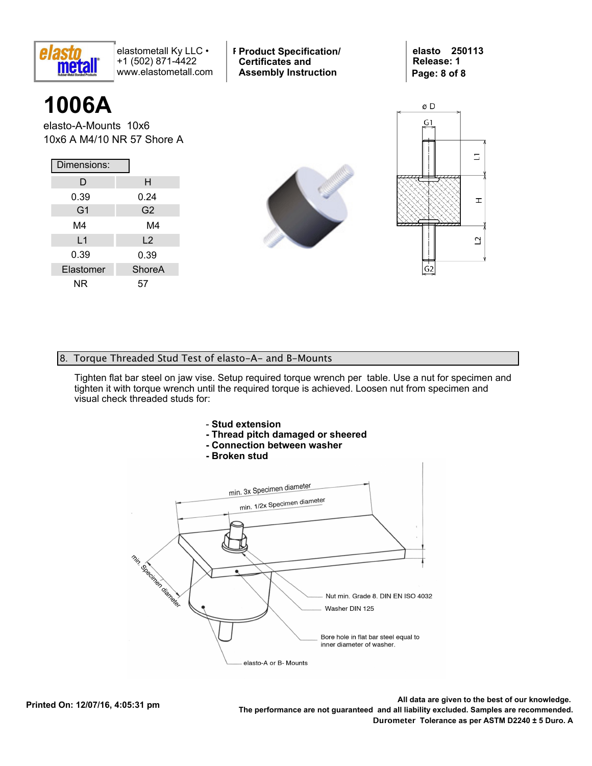

**Product Typ-Style Product Specification/ Certificates and Assembly Instruction**

**elasto 250113 Release: 1 Page: 8 of 8**

# **1006A**

elasto-A-Mounts 10x6 10x6 A M4/10 NR 57 Shore A

| Dimensions:    |                |  |  |  |
|----------------|----------------|--|--|--|
| D              | н              |  |  |  |
| 0.39           | 0.24           |  |  |  |
| G1             | G <sub>2</sub> |  |  |  |
| M4             | M4             |  |  |  |
| L <sub>1</sub> | L2             |  |  |  |
| 0.39           | 0.39           |  |  |  |
| Elastomer      | <b>ShoreA</b>  |  |  |  |
| ΝR             | 57             |  |  |  |





#### 8. Torque Threaded Stud Test of elasto-A- and B-Mounts

Tighten flat bar steel on jaw vise. Setup required torque wrench per table. Use a nut for specimen and tighten it with torque wrench until the required torque is achieved. Loosen nut from specimen and visual check threaded studs for: